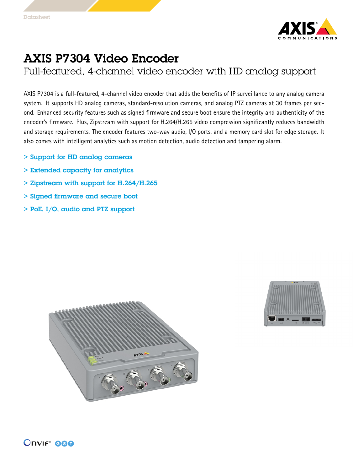

## AXIS P7304 Video Encoder

Full-featured, 4-channel video encoder with HD analog support

AXIS P7304 is <sup>a</sup> full-featured, 4-channel video encoder that adds the benefits of IP surveillance to any analog camera system. It supports HD analog cameras, standard-resolution cameras, and analog PTZ cameras at 30 frames per second. Enhanced security features such as signed firmware and secure boot ensure the integrity and authenticity of the encoder's firmware. Plus, Zipstream with support for H.264/H.265 video compression significantly reduces bandwidth and storage requirements. The encoder features two-way audio, I/O ports, and <sup>a</sup> memory card slot for edge storage. It also comes with intelligent analytics such as motion detection, audio detection and tampering alarm.

- > Support for HD analog cameras
- > Extended capacity for analytics
- > Zipstream with support for H.264/H.265
- > Signed firmware and secure boot
- > PoE, I/O, audio and PTZ support